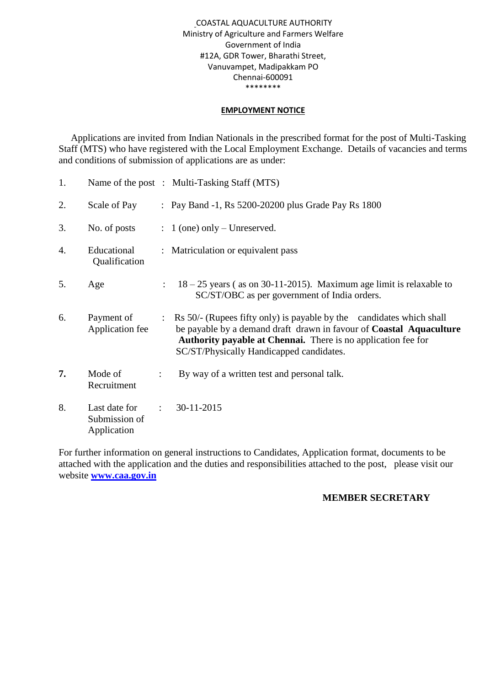#### COASTAL AQUACULTURE AUTHORITY Ministry of Agriculture and Farmers Welfare Government of India #12A, GDR Tower, Bharathi Street, Vanuvampet, Madipakkam PO Chennai-600091 \*\*\*\*\*\*\*\*

#### **EMPLOYMENT NOTICE**

 Applications are invited from Indian Nationals in the prescribed format for the post of Multi-Tasking Staff (MTS) who have registered with the Local Employment Exchange. Details of vacancies and terms and conditions of submission of applications are as under:

| 1. |                                               |                           | Name of the post : Multi-Tasking Staff (MTS)                                                                                                                                                                                                                             |
|----|-----------------------------------------------|---------------------------|--------------------------------------------------------------------------------------------------------------------------------------------------------------------------------------------------------------------------------------------------------------------------|
| 2. | Scale of Pay                                  |                           | : Pay Band -1, Rs 5200-20200 plus Grade Pay Rs 1800                                                                                                                                                                                                                      |
| 3. | No. of posts                                  |                           | $\therefore$ 1 (one) only – Unreserved.                                                                                                                                                                                                                                  |
| 4. | Educational<br>Qualification                  |                           | : Matriculation or equivalent pass                                                                                                                                                                                                                                       |
| 5. | Age                                           | $\mathbb{Z}^{\mathbb{Z}}$ | $18 - 25$ years (as on 30-11-2015). Maximum age limit is relaxable to<br>SC/ST/OBC as per government of India orders.                                                                                                                                                    |
| 6. | Payment of<br>Application fee                 |                           | : Rs 50/- (Rupees fifty only) is payable by the candidates which shall<br>be payable by a demand draft drawn in favour of <b>Coastal Aquaculture</b><br><b>Authority payable at Chennai.</b> There is no application fee for<br>SC/ST/Physically Handicapped candidates. |
| 7. | Mode of<br>Recruitment                        |                           | By way of a written test and personal talk.                                                                                                                                                                                                                              |
| 8. | Last date for<br>Submission of<br>Application | $\ddot{\cdot}$            | 30-11-2015                                                                                                                                                                                                                                                               |

For further information on general instructions to Candidates, Application format, documents to be attached with the application and the duties and responsibilities attached to the post, please visit our website **[www.caa.gov.in](http://www.caa.gov.in/)**

## **MEMBER SECRETARY**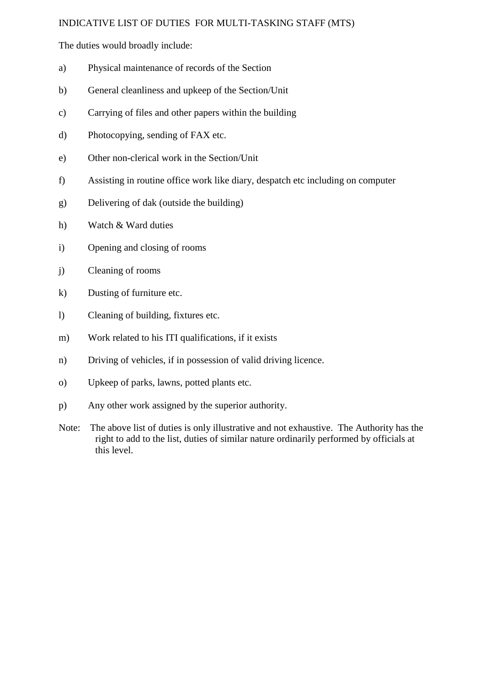#### INDICATIVE LIST OF DUTIES FOR MULTI-TASKING STAFF (MTS)

The duties would broadly include:

- a) Physical maintenance of records of the Section
- b) General cleanliness and upkeep of the Section/Unit
- c) Carrying of files and other papers within the building
- d) Photocopying, sending of FAX etc.
- e) Other non-clerical work in the Section/Unit
- f) Assisting in routine office work like diary, despatch etc including on computer
- g) Delivering of dak (outside the building)
- h) Watch & Ward duties
- i) Opening and closing of rooms
- j) Cleaning of rooms
- k) Dusting of furniture etc.
- l) Cleaning of building, fixtures etc.
- m) Work related to his ITI qualifications, if it exists
- n) Driving of vehicles, if in possession of valid driving licence.
- o) Upkeep of parks, lawns, potted plants etc.
- p) Any other work assigned by the superior authority.
- Note: The above list of duties is only illustrative and not exhaustive. The Authority has the right to add to the list, duties of similar nature ordinarily performed by officials at this level.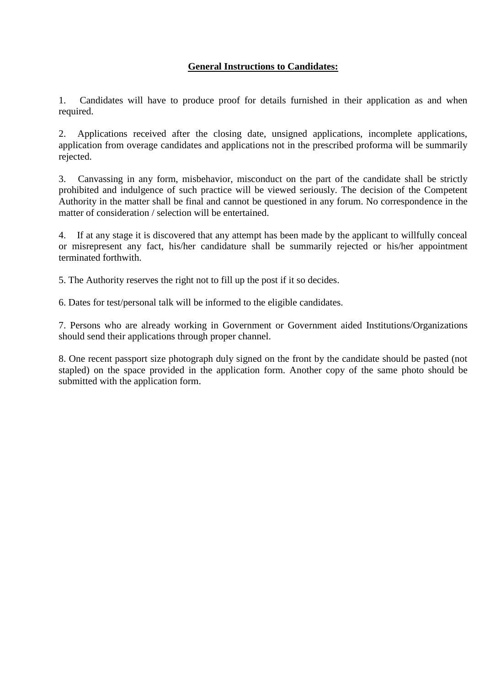# **General Instructions to Candidates:**

1. Candidates will have to produce proof for details furnished in their application as and when required.

2. Applications received after the closing date, unsigned applications, incomplete applications, application from overage candidates and applications not in the prescribed proforma will be summarily rejected.

3. Canvassing in any form, misbehavior, misconduct on the part of the candidate shall be strictly prohibited and indulgence of such practice will be viewed seriously. The decision of the Competent Authority in the matter shall be final and cannot be questioned in any forum. No correspondence in the matter of consideration / selection will be entertained.

4. If at any stage it is discovered that any attempt has been made by the applicant to willfully conceal or misrepresent any fact, his/her candidature shall be summarily rejected or his/her appointment terminated forthwith.

5. The Authority reserves the right not to fill up the post if it so decides.

6. Dates for test/personal talk will be informed to the eligible candidates.

7. Persons who are already working in Government or Government aided Institutions/Organizations should send their applications through proper channel.

8. One recent passport size photograph duly signed on the front by the candidate should be pasted (not stapled) on the space provided in the application form. Another copy of the same photo should be submitted with the application form.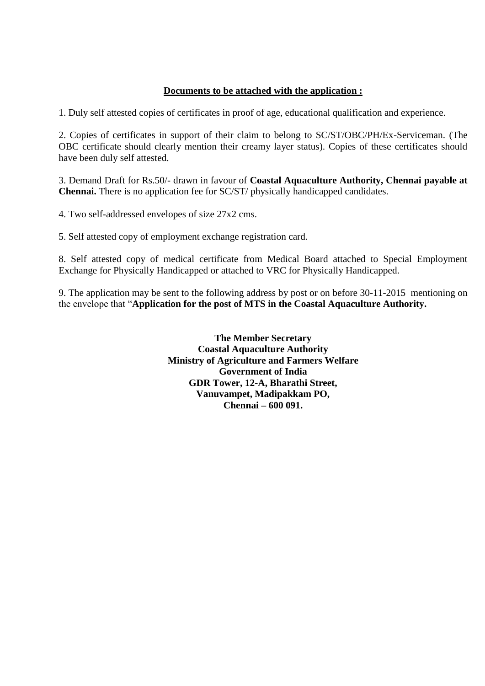## **Documents to be attached with the application :**

1. Duly self attested copies of certificates in proof of age, educational qualification and experience.

2. Copies of certificates in support of their claim to belong to SC/ST/OBC/PH/Ex-Serviceman. (The OBC certificate should clearly mention their creamy layer status). Copies of these certificates should have been duly self attested.

3. Demand Draft for Rs.50/- drawn in favour of **Coastal Aquaculture Authority, Chennai payable at Chennai.** There is no application fee for SC/ST/ physically handicapped candidates.

4. Two self-addressed envelopes of size 27x2 cms.

5. Self attested copy of employment exchange registration card.

8. Self attested copy of medical certificate from Medical Board attached to Special Employment Exchange for Physically Handicapped or attached to VRC for Physically Handicapped.

9. The application may be sent to the following address by post or on before 30-11-2015 mentioning on the envelope that "**Application for the post of MTS in the Coastal Aquaculture Authority.**

> **The Member Secretary Coastal Aquaculture Authority Ministry of Agriculture and Farmers Welfare Government of India GDR Tower, 12-A, Bharathi Street, Vanuvampet, Madipakkam PO, Chennai – 600 091.**